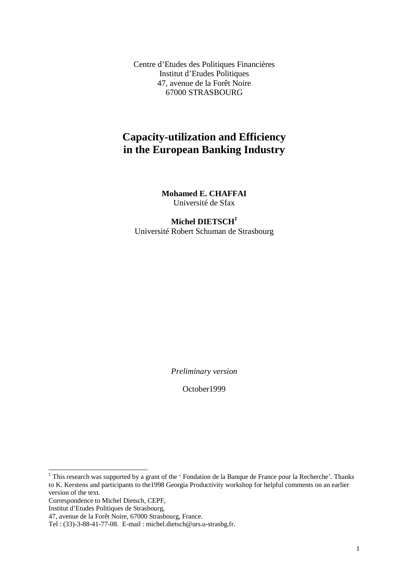Centre d'Etudes des Politiques Financières Institut d'Etudes Politiques 47, avenue de la Forêt Noire 67000 STRASBOURG

# **Capacity-utilization and Efficiency in the European Banking Industry**

**Mohamed E. CHAFFAI** Université de Sfax

#### **Michel DIETSCH1** Université Robert Schuman de Strasbourg

*Preliminary version*

October1999

<sup>1</sup> This research was supported by a grant of the ' Fondation de la Banque de France pour la Recherche'. Thanks to K. Kerstens and participants to the1998 Georgia Productivity workshop for helpful comments on an earlier version of the text.

Correspondence to Michel Dietsch, CEPF,

Institut d'Etudes Politiques de Strasbourg,

<sup>47,</sup> avenue de la Forêt Noire, 67000 Strasbourg, France.

Tel : (33)-3-88-41-77-08. E-mail : michel.dietsch@urs.u-strasbg.fr.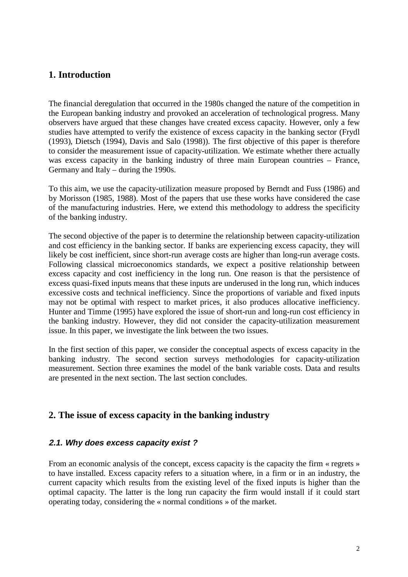# **1. Introduction**

The financial deregulation that occurred in the 1980s changed the nature of the competition in the European banking industry and provoked an acceleration of technological progress. Many observers have argued that these changes have created excess capacity. However, only a few studies have attempted to verify the existence of excess capacity in the banking sector (Frydl (1993), Dietsch (1994), Davis and Salo (1998)). The first objective of this paper is therefore to consider the measurement issue of capacity-utilization. We estimate whether there actually was excess capacity in the banking industry of three main European countries – France, Germany and Italy – during the 1990s.

To this aim, we use the capacity-utilization measure proposed by Berndt and Fuss (1986) and by Morisson (1985, 1988). Most of the papers that use these works have considered the case of the manufacturing industries. Here, we extend this methodology to address the specificity of the banking industry.

The second objective of the paper is to determine the relationship between capacity-utilization and cost efficiency in the banking sector. If banks are experiencing excess capacity, they will likely be cost inefficient, since short-run average costs are higher than long-run average costs. Following classical microeconomics standards, we expect a positive relationship between excess capacity and cost inefficiency in the long run. One reason is that the persistence of excess quasi-fixed inputs means that these inputs are underused in the long run, which induces excessive costs and technical inefficiency. Since the proportions of variable and fixed inputs may not be optimal with respect to market prices, it also produces allocative inefficiency. Hunter and Timme (1995) have explored the issue of short-run and long-run cost efficiency in the banking industry. However, they did not consider the capacity-utilization measurement issue. In this paper, we investigate the link between the two issues.

In the first section of this paper, we consider the conceptual aspects of excess capacity in the banking industry. The second section surveys methodologies for capacity-utilization measurement. Section three examines the model of the bank variable costs. Data and results are presented in the next section. The last section concludes.

# **2. The issue of excess capacity in the banking industry**

#### **2.1. Why does excess capacity exist ?**

From an economic analysis of the concept, excess capacity is the capacity the firm « regrets » to have installed. Excess capacity refers to a situation where, in a firm or in an industry, the current capacity which results from the existing level of the fixed inputs is higher than the optimal capacity. The latter is the long run capacity the firm would install if it could start operating today, considering the « normal conditions » of the market.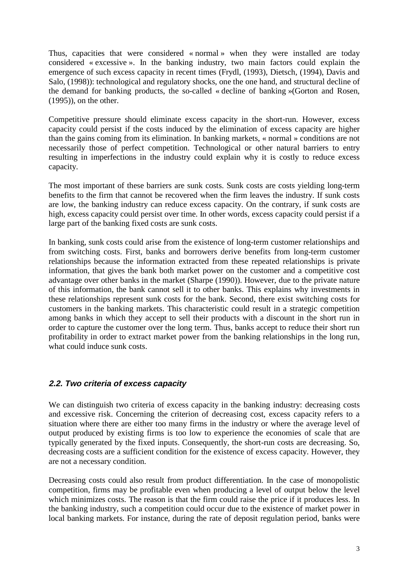Thus, capacities that were considered « normal » when they were installed are today considered « excessive ». In the banking industry, two main factors could explain the emergence of such excess capacity in recent times (Frydl, (1993), Dietsch, (1994), Davis and Salo, (1998)): technological and regulatory shocks, one the one hand, and structural decline of the demand for banking products, the so-called « decline of banking »(Gorton and Rosen, (1995)), on the other.

Competitive pressure should eliminate excess capacity in the short-run. However, excess capacity could persist if the costs induced by the elimination of excess capacity are higher than the gains coming from its elimination. In banking markets, « normal » conditions are not necessarily those of perfect competition. Technological or other natural barriers to entry resulting in imperfections in the industry could explain why it is costly to reduce excess capacity.

The most important of these barriers are sunk costs. Sunk costs are costs yielding long-term benefits to the firm that cannot be recovered when the firm leaves the industry. If sunk costs are low, the banking industry can reduce excess capacity. On the contrary, if sunk costs are high, excess capacity could persist over time. In other words, excess capacity could persist if a large part of the banking fixed costs are sunk costs.

In banking, sunk costs could arise from the existence of long-term customer relationships and from switching costs. First, banks and borrowers derive benefits from long-term customer relationships because the information extracted from these repeated relationships is private information, that gives the bank both market power on the customer and a competitive cost advantage over other banks in the market (Sharpe (1990)). However, due to the private nature of this information, the bank cannot sell it to other banks. This explains why investments in these relationships represent sunk costs for the bank. Second, there exist switching costs for customers in the banking markets. This characteristic could result in a strategic competition among banks in which they accept to sell their products with a discount in the short run in order to capture the customer over the long term. Thus, banks accept to reduce their short run profitability in order to extract market power from the banking relationships in the long run, what could induce sunk costs.

# **2.2. Two criteria of excess capacity**

We can distinguish two criteria of excess capacity in the banking industry: decreasing costs and excessive risk. Concerning the criterion of decreasing cost, excess capacity refers to a situation where there are either too many firms in the industry or where the average level of output produced by existing firms is too low to experience the economies of scale that are typically generated by the fixed inputs. Consequently, the short-run costs are decreasing. So, decreasing costs are a sufficient condition for the existence of excess capacity. However, they are not a necessary condition.

Decreasing costs could also result from product differentiation. In the case of monopolistic competition, firms may be profitable even when producing a level of output below the level which minimizes costs. The reason is that the firm could raise the price if it produces less. In the banking industry, such a competition could occur due to the existence of market power in local banking markets. For instance, during the rate of deposit regulation period, banks were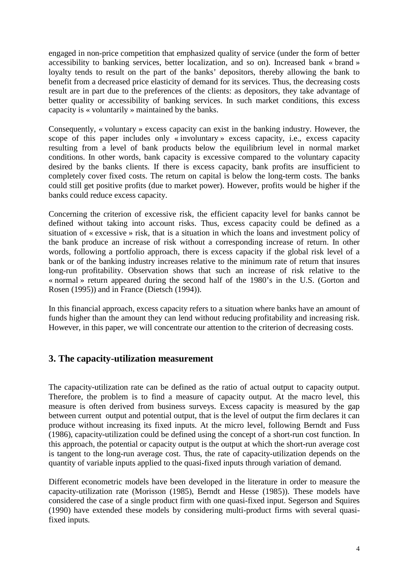engaged in non-price competition that emphasized quality of service (under the form of better accessibility to banking services, better localization, and so on). Increased bank « brand » loyalty tends to result on the part of the banks' depositors, thereby allowing the bank to benefit from a decreased price elasticity of demand for its services. Thus, the decreasing costs result are in part due to the preferences of the clients: as depositors, they take advantage of better quality or accessibility of banking services. In such market conditions, this excess capacity is « voluntarily » maintained by the banks.

Consequently, « voluntary » excess capacity can exist in the banking industry. However, the scope of this paper includes only « involuntary » excess capacity, i.e., excess capacity resulting from a level of bank products below the equilibrium level in normal market conditions. In other words, bank capacity is excessive compared to the voluntary capacity desired by the banks clients. If there is excess capacity, bank profits are insufficient to completely cover fixed costs. The return on capital is below the long-term costs. The banks could still get positive profits (due to market power). However, profits would be higher if the banks could reduce excess capacity.

Concerning the criterion of excessive risk, the efficient capacity level for banks cannot be defined without taking into account risks. Thus, excess capacity could be defined as a situation of « excessive » risk, that is a situation in which the loans and investment policy of the bank produce an increase of risk without a corresponding increase of return. In other words, following a portfolio approach, there is excess capacity if the global risk level of a bank or of the banking industry increases relative to the minimum rate of return that insures long-run profitability. Observation shows that such an increase of risk relative to the « normal » return appeared during the second half of the 1980's in the U.S. (Gorton and Rosen (1995)) and in France (Dietsch (1994)).

In this financial approach, excess capacity refers to a situation where banks have an amount of funds higher than the amount they can lend without reducing profitability and increasing risk. However, in this paper, we will concentrate our attention to the criterion of decreasing costs.

# **3. The capacity-utilization measurement**

The capacity-utilization rate can be defined as the ratio of actual output to capacity output. Therefore, the problem is to find a measure of capacity output. At the macro level, this measure is often derived from business surveys. Excess capacity is measured by the gap between current output and potential output, that is the level of output the firm declares it can produce without increasing its fixed inputs. At the micro level, following Berndt and Fuss (1986), capacity-utilization could be defined using the concept of a short-run cost function. In this approach, the potential or capacity output is the output at which the short-run average cost is tangent to the long-run average cost. Thus, the rate of capacity-utilization depends on the quantity of variable inputs applied to the quasi-fixed inputs through variation of demand.

Different econometric models have been developed in the literature in order to measure the capacity-utilization rate (Morisson (1985), Berndt and Hesse (1985)). These models have considered the case of a single product firm with one quasi-fixed input. Segerson and Squires (1990) have extended these models by considering multi-product firms with several quasifixed inputs.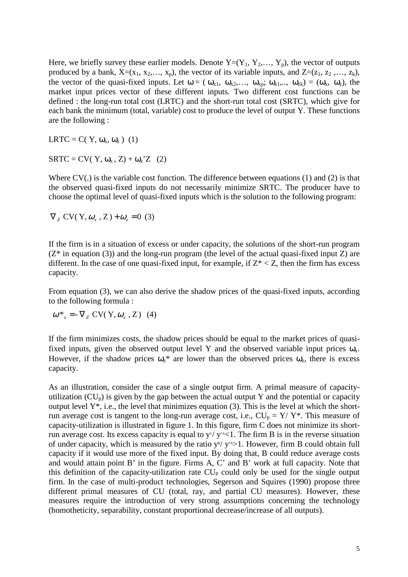Here, we briefly survey these earlier models. Denote  $Y=(Y_1, Y_2,..., Y_p)$ , the vector of outputs produced by a bank,  $X=(x_1, x_2,..., x_p)$ , the vector of its variable inputs, and  $Z=(z_1, z_2,..., z_k)$ , the vector of the quasi-fixed inputs. Let  $\omega = (\omega_{x1}, \omega_{x2},...,\omega_{xp}; \omega_{z1},...,\omega_{zk}) = (\omega_x, \omega_z)$ , the market input prices vector of these different inputs. Two different cost functions can be defined : the long-run total cost (LRTC) and the short-run total cost (SRTC), which give for each bank the minimum (total, variable) cost to produce the level of output Y. These functions are the following :

LRTC = C( Y,  $\omega_x$ ,  $\omega_z$ ) (1)

 $SRTC = CV(Y, \omega_x, Z) + \omega_z Z$  (2)

Where CV(.) is the variable cost function. The difference between equations (1) and (2) is that the observed quasi-fixed inputs do not necessarily minimize SRTC. The producer have to choose the optimal level of quasi-fixed inputs which is the solution to the following program:

$$
\nabla_z CV(Y, \omega_x, Z) + \omega_z = 0
$$
 (3)

If the firm is in a situation of excess or under capacity, the solutions of the short-run program  $(Z^*)$  in equation (3)) and the long-run program (the level of the actual quasi-fixed input Z) are different. In the case of one quasi-fixed input, for example, if  $Z^* < Z$ , then the firm has excess capacity.

From equation (3), we can also derive the shadow prices of the quasi-fixed inputs, according to the following formula :

$$
\omega^* = -\nabla_z CV(Y, \omega_x, Z) \quad (4)
$$

If the firm minimizes costs, the shadow prices should be equal to the market prices of quasifixed inputs, given the observed output level Y and the observed variable input prices  $\omega_{x}$ . However, if the shadow prices  $\omega_z^*$  are lower than the observed prices  $\omega_z$ , there is excess capacity.

As an illustration, consider the case of a single output firm. A primal measure of capacityutilization  $(CU_p)$  is given by the gap between the actual output Y and the potential or capacity output level  $Y^*$ , i.e., the level that minimizes equation (3). This is the level at which the shortrun average cost is tangent to the long-run average cost, i.e.,  $CU_p = Y/Y^*$ . This measure of capacity-utilization is illustrated in figure 1. In this figure, firm C does not minimize its shortrun average cost. Its excess capacity is equal to  $y^{c}/y^{A}$ <1. The firm B is in the reverse situation of under capacity, which is measured by the ratio  $y^B / y^A > 1$ . However, firm B could obtain full capacity if it would use more of the fixed input. By doing that, B could reduce average costs and would attain point B' in the figure. Firms A, C' and B' work at full capacity. Note that this definition of the capacity-utilization rate  $CU<sub>p</sub>$  could only be used for the single output firm. In the case of multi-product technologies, Segerson and Squires (1990) propose three different primal measures of CU (total, ray, and partial CU measures). However, these measures require the introduction of very strong assumptions concerning the technology (homotheticity, separability, constant proportional decrease/increase of all outputs).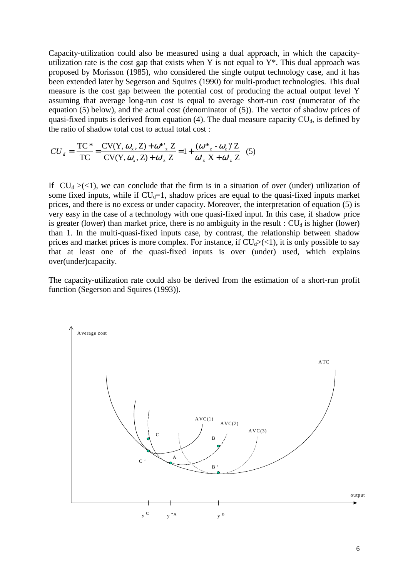Capacity-utilization could also be measured using a dual approach, in which the capacityutilization rate is the cost gap that exists when Y is not equal to  $Y^*$ . This dual approach was proposed by Morisson (1985), who considered the single output technology case, and it has been extended later by Segerson and Squires (1990) for multi-product technologies. This dual measure is the cost gap between the potential cost of producing the actual output level Y assuming that average long-run cost is equal to average short-run cost (numerator of the equation (5) below), and the actual cost (denominator of (5)). The vector of shadow prices of quasi-fixed inputs is derived from equation (4). The dual measure capacity  $CU<sub>d</sub>$ , is defined by the ratio of shadow total cost to actual total cost :

$$
CU_{d} = \frac{TC^*}{TC} = \frac{CV(Y, \omega_x, Z) + \omega^*_{z}Z}{CV(Y, \omega_x, Z) + \omega'_{z}Z} = 1 + \frac{(\omega^*_{z} - \omega_z)'Z}{\omega'_{x}X + \omega'_{z}Z}
$$
(5)

If  $CU_d > (<1)$ , we can conclude that the firm is in a situation of over (under) utilization of some fixed inputs, while if  $CU<sub>d</sub>=1$ , shadow prices are equal to the quasi-fixed inputs market prices, and there is no excess or under capacity. Moreover, the interpretation of equation (5) is very easy in the case of a technology with one quasi-fixed input. In this case, if shadow price is greater (lower) than market price, there is no ambiguity in the result :  $CU<sub>d</sub>$  is higher (lower) than 1. In the multi-quasi-fixed inputs case, by contrast, the relationship between shadow prices and market prices is more complex. For instance, if  $CU<sub>d</sub>>(<1)$ , it is only possible to say that at least one of the quasi-fixed inputs is over (under) used, which explains over(under)capacity.

The capacity-utilization rate could also be derived from the estimation of a short-run profit function (Segerson and Squires (1993)).

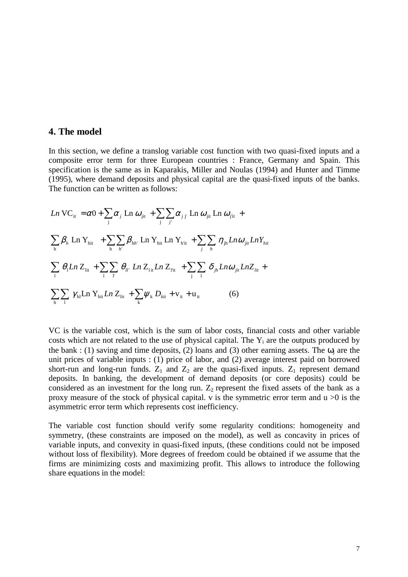#### **4. The model**

In this section, we define a translog variable cost function with two quasi-fixed inputs and a composite error term for three European countries : France, Germany and Spain. This specification is the same as in Kaparakis, Miller and Noulas (1994) and Hunter and Timme (1995), where demand deposits and physical capital are the quasi-fixed inputs of the banks. The function can be written as follows:

$$
Ln VC_{it} = \alpha 0 + \sum_{j} \alpha_{j} Ln \omega_{jit} + \sum_{j} \sum_{j'} \alpha_{jj'} Ln \omega_{jit} Ln \omega_{jit} +
$$
  

$$
\sum_{h} \beta_{h} Ln Y_{hit} + \sum_{h} \sum_{h'} \beta_{hh'} Ln Y_{hit} Ln Y_{hit} + \sum_{j} \sum_{h} \eta_{jh} Ln \omega_{jit} Ln Y_{hit}
$$
  

$$
\sum_{i} \theta_{i} Ln Z_{lit} + \sum_{i} \sum_{i'} \theta_{ii'} Ln Z_{lit} Ln Z_{lit} + \sum_{j} \sum_{i} \delta_{jh} Ln \omega_{jit} Ln Z_{lit} +
$$
  

$$
\sum_{h} \sum_{i} \gamma_{hl} Ln Y_{hit} Ln Z_{lit} + \sum_{k} \psi_{k} D_{kit} + v_{it} + u_{it}
$$
 (6)

VC is the variable cost, which is the sum of labor costs, financial costs and other variable costs which are not related to the use of physical capital. The  $Y_i$  are the outputs produced by the bank : (1) saving and time deposits, (2) loans and (3) other earning assets. The  $\omega_i$  are the unit prices of variable inputs : (1) price of labor, and (2) average interest paid on borrowed short-run and long-run funds.  $Z_1$  and  $Z_2$  are the quasi-fixed inputs.  $Z_1$  represent demand deposits. In banking, the development of demand deposits (or core deposits) could be considered as an investment for the long run.  $Z_2$  represent the fixed assets of the bank as a proxy measure of the stock of physical capital. v is the symmetric error term and  $u > 0$  is the asymmetric error term which represents cost inefficiency.

The variable cost function should verify some regularity conditions: homogeneity and symmetry, (these constraints are imposed on the model), as well as concavity in prices of variable inputs, and convexity in quasi-fixed inputs, (these conditions could not be imposed without loss of flexibility). More degrees of freedom could be obtained if we assume that the firms are minimizing costs and maximizing profit. This allows to introduce the following share equations in the model: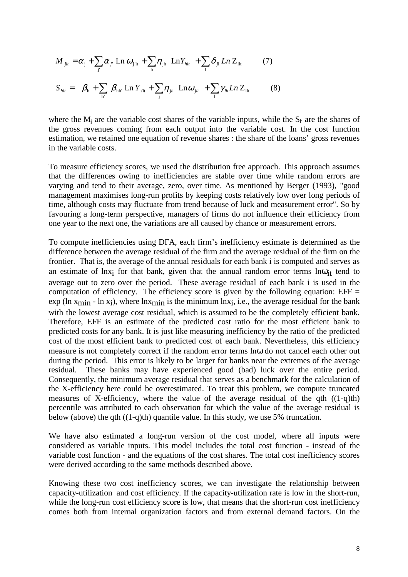$$
M_{jit} = \alpha_j + \sum_{j'} \alpha_{j'} \operatorname{Ln} \omega_{j'i} + \sum_{h} \eta_{jh} \operatorname{Ln} Y_{hit} + \sum_{l} \delta_{jl} \operatorname{Ln} Z_{lit} \qquad (7)
$$
  

$$
S_{hit} = \beta_h + \sum_{h'} \beta_{hh'} \operatorname{Ln} Y_{hit} + \sum_{j} \eta_{jh} \operatorname{Ln} \omega_{jit} + \sum_{l} \gamma_{lh} \operatorname{Ln} Z_{lit} \qquad (8)
$$

where the  $M_i$  are the variable cost shares of the variable inputs, while the  $S_h$  are the shares of the gross revenues coming from each output into the variable cost. In the cost function estimation, we retained one equation of revenue shares : the share of the loans' gross revenues in the variable costs.

To measure efficiency scores, we used the distribution free approach. This approach assumes that the differences owing to inefficiencies are stable over time while random errors are varying and tend to their average, zero, over time. As mentioned by Berger (1993), "good management maximises long-run profits by keeping costs relatively low over long periods of time, although costs may fluctuate from trend because of luck and measurement error". So by favouring a long-term perspective, managers of firms do not influence their efficiency from one year to the next one, the variations are all caused by chance or measurement errors.

To compute inefficiencies using DFA, each firm's inefficiency estimate is determined as the difference between the average residual of the firm and the average residual of the firm on the frontier. That is, the average of the annual residuals for each bank i is computed and serves as an estimate of lnx<sub>i</sub> for that bank, given that the annual random error terms  $ln\omega_{it}$  tend to average out to zero over the period. These average residual of each bank i is used in the computation of efficiency. The efficiency score is given by the following equation: EFF = exp (ln  $x_{min}$  - ln  $x_i$ ), where ln $x_{min}$  is the minimum ln $x_i$ , i.e., the average residual for the bank with the lowest average cost residual, which is assumed to be the completely efficient bank. Therefore, EFF is an estimate of the predicted cost ratio for the most efficient bank to predicted costs for any bank. It is just like measuring inefficiency by the ratio of the predicted cost of the most efficient bank to predicted cost of each bank. Nevertheless, this efficiency measure is not completely correct if the random error terms lnω do not cancel each other out during the period. This error is likely to be larger for banks near the extremes of the average residual. These banks may have experienced good (bad) luck over the entire period. Consequently, the minimum average residual that serves as a benchmark for the calculation of the X-efficiency here could be overestimated. To treat this problem, we compute truncated measures of X-efficiency, where the value of the average residual of the qth  $((1-q)th)$ percentile was attributed to each observation for which the value of the average residual is below (above) the qth ((1-q)th) quantile value. In this study, we use 5% truncation.

We have also estimated a long-run version of the cost model, where all inputs were considered as variable inputs. This model includes the total cost function - instead of the variable cost function - and the equations of the cost shares. The total cost inefficiency scores were derived according to the same methods described above.

Knowing these two cost inefficiency scores, we can investigate the relationship between capacity-utilization and cost efficiency. If the capacity-utilization rate is low in the short-run, while the long-run cost efficiency score is low, that means that the short-run cost inefficiency comes both from internal organization factors and from external demand factors. On the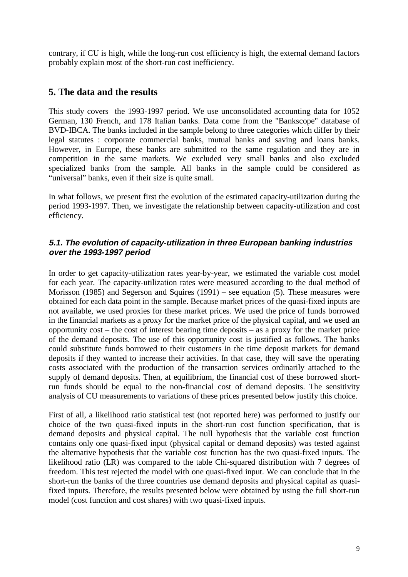contrary, if CU is high, while the long-run cost efficiency is high, the external demand factors probably explain most of the short-run cost inefficiency.

# **5. The data and the results**

This study covers the 1993-1997 period. We use unconsolidated accounting data for 1052 German, 130 French, and 178 Italian banks. Data come from the "Bankscope" database of BVD-IBCA. The banks included in the sample belong to three categories which differ by their legal statutes : corporate commercial banks, mutual banks and saving and loans banks. However, in Europe, these banks are submitted to the same regulation and they are in competition in the same markets. We excluded very small banks and also excluded specialized banks from the sample. All banks in the sample could be considered as "universal" banks, even if their size is quite small.

In what follows, we present first the evolution of the estimated capacity-utilization during the period 1993-1997. Then, we investigate the relationship between capacity-utilization and cost efficiency.

#### **5.1. The evolution of capacity-utilization in three European banking industries over the 1993-1997 period**

In order to get capacity-utilization rates year-by-year, we estimated the variable cost model for each year. The capacity-utilization rates were measured according to the dual method of Morisson (1985) and Segerson and Squires (1991) – see equation (5). These measures were obtained for each data point in the sample. Because market prices of the quasi-fixed inputs are not available, we used proxies for these market prices. We used the price of funds borrowed in the financial markets as a proxy for the market price of the physical capital, and we used an opportunity cost – the cost of interest bearing time deposits – as a proxy for the market price of the demand deposits. The use of this opportunity cost is justified as follows. The banks could substitute funds borrowed to their customers in the time deposit markets for demand deposits if they wanted to increase their activities. In that case, they will save the operating costs associated with the production of the transaction services ordinarily attached to the supply of demand deposits. Then, at equilibrium, the financial cost of these borrowed shortrun funds should be equal to the non-financial cost of demand deposits. The sensitivity analysis of CU measurements to variations of these prices presented below justify this choice.

First of all, a likelihood ratio statistical test (not reported here) was performed to justify our choice of the two quasi-fixed inputs in the short-run cost function specification, that is demand deposits and physical capital. The null hypothesis that the variable cost function contains only one quasi-fixed input (physical capital or demand deposits) was tested against the alternative hypothesis that the variable cost function has the two quasi-fixed inputs. The likelihood ratio (LR) was compared to the table Chi-squared distribution with 7 degrees of freedom. This test rejected the model with one quasi-fixed input. We can conclude that in the short-run the banks of the three countries use demand deposits and physical capital as quasifixed inputs. Therefore, the results presented below were obtained by using the full short-run model (cost function and cost shares) with two quasi-fixed inputs.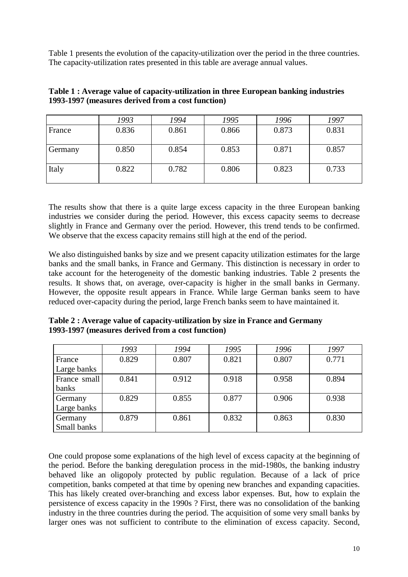Table 1 presents the evolution of the capacity-utilization over the period in the three countries. The capacity-utilization rates presented in this table are average annual values.

|         | 1993  | 1994  | 1995  | 1996  | 1997  |
|---------|-------|-------|-------|-------|-------|
| France  | 0.836 | 0.861 | 0.866 | 0.873 | 0.831 |
| Germany | 0.850 | 0.854 | 0.853 | 0.871 | 0.857 |
| Italy   | 0.822 | 0.782 | 0.806 | 0.823 | 0.733 |

| Table 1 : Average value of capacity-utilization in three European banking industries |
|--------------------------------------------------------------------------------------|
| 1993-1997 (measures derived from a cost function)                                    |

The results show that there is a quite large excess capacity in the three European banking industries we consider during the period. However, this excess capacity seems to decrease slightly in France and Germany over the period. However, this trend tends to be confirmed. We observe that the excess capacity remains still high at the end of the period.

We also distinguished banks by size and we present capacity utilization estimates for the large banks and the small banks, in France and Germany. This distinction is necessary in order to take account for the heterogeneity of the domestic banking industries. Table 2 presents the results. It shows that, on average, over-capacity is higher in the small banks in Germany. However, the opposite result appears in France. While large German banks seem to have reduced over-capacity during the period, large French banks seem to have maintained it.

**Table 2 : Average value of capacity-utilization by size in France and Germany 1993-1997 (measures derived from a cost function)**

|              | 1993  | 1994  | 1995  | 1996  | 1997  |
|--------------|-------|-------|-------|-------|-------|
| France       | 0.829 | 0.807 | 0.821 | 0.807 | 0.771 |
| Large banks  |       |       |       |       |       |
| France small | 0.841 | 0.912 | 0.918 | 0.958 | 0.894 |
| banks        |       |       |       |       |       |
| Germany      | 0.829 | 0.855 | 0.877 | 0.906 | 0.938 |
| Large banks  |       |       |       |       |       |
| Germany      | 0.879 | 0.861 | 0.832 | 0.863 | 0.830 |
| Small banks  |       |       |       |       |       |

One could propose some explanations of the high level of excess capacity at the beginning of the period. Before the banking deregulation process in the mid-1980s, the banking industry behaved like an oligopoly protected by public regulation. Because of a lack of price competition, banks competed at that time by opening new branches and expanding capacities. This has likely created over-branching and excess labor expenses. But, how to explain the persistence of excess capacity in the 1990s ? First, there was no consolidation of the banking industry in the three countries during the period. The acquisition of some very small banks by larger ones was not sufficient to contribute to the elimination of excess capacity. Second,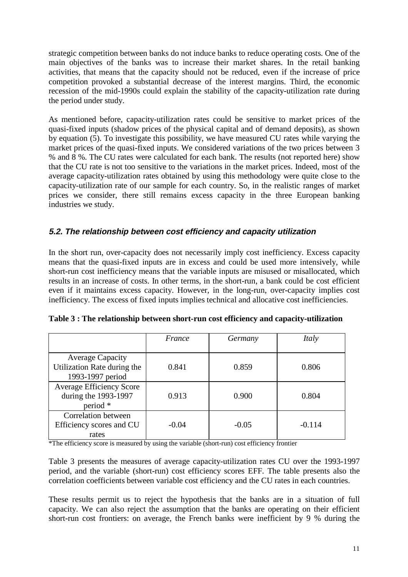strategic competition between banks do not induce banks to reduce operating costs. One of the main objectives of the banks was to increase their market shares. In the retail banking activities, that means that the capacity should not be reduced, even if the increase of price competition provoked a substantial decrease of the interest margins. Third, the economic recession of the mid-1990s could explain the stability of the capacity-utilization rate during the period under study.

As mentioned before, capacity-utilization rates could be sensitive to market prices of the quasi-fixed inputs (shadow prices of the physical capital and of demand deposits), as shown by equation (5). To investigate this possibility, we have measured CU rates while varying the market prices of the quasi-fixed inputs. We considered variations of the two prices between 3 % and 8 %. The CU rates were calculated for each bank. The results (not reported here) show that the CU rate is not too sensitive to the variations in the market prices. Indeed, most of the average capacity-utilization rates obtained by using this methodology were quite close to the capacity-utilization rate of our sample for each country. So, in the realistic ranges of market prices we consider, there still remains excess capacity in the three European banking industries we study.

# **5.2. The relationship between cost efficiency and capacity utilization**

In the short run, over-capacity does not necessarily imply cost inefficiency. Excess capacity means that the quasi-fixed inputs are in excess and could be used more intensively, while short-run cost inefficiency means that the variable inputs are misused or misallocated, which results in an increase of costs. In other terms, in the short-run, a bank could be cost efficient even if it maintains excess capacity. However, in the long-run, over-capacity implies cost inefficiency. The excess of fixed inputs implies technical and allocative cost inefficiencies.

|                                                                            | France  | Germany | Italy    |
|----------------------------------------------------------------------------|---------|---------|----------|
| <b>Average Capacity</b><br>Utilization Rate during the<br>1993-1997 period | 0.841   | 0.859   | 0.806    |
| <b>Average Efficiency Score</b><br>during the 1993-1997<br>period *        | 0.913   | 0.900   | 0.804    |
| Correlation between<br>Efficiency scores and CU<br>rates                   | $-0.04$ | $-0.05$ | $-0.114$ |

|  |  |  | Table 3 : The relationship between short-run cost efficiency and capacity-utilization |
|--|--|--|---------------------------------------------------------------------------------------|
|  |  |  |                                                                                       |

\*The efficiency score is measured by using the variable (short-run) cost efficiency frontier

Table 3 presents the measures of average capacity-utilization rates CU over the 1993-1997 period, and the variable (short-run) cost efficiency scores EFF. The table presents also the correlation coefficients between variable cost efficiency and the CU rates in each countries.

These results permit us to reject the hypothesis that the banks are in a situation of full capacity. We can also reject the assumption that the banks are operating on their efficient short-run cost frontiers: on average, the French banks were inefficient by 9 % during the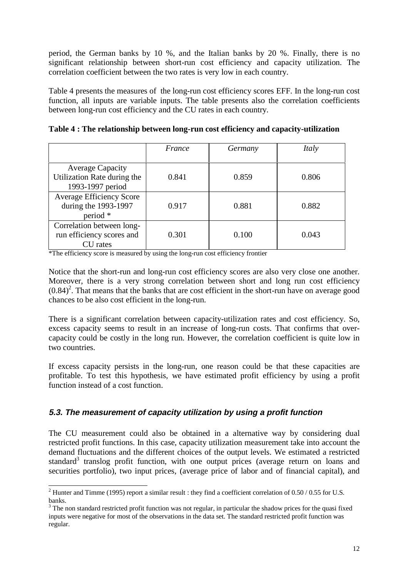period, the German banks by 10 %, and the Italian banks by 20 %. Finally, there is no significant relationship between short-run cost efficiency and capacity utilization. The correlation coefficient between the two rates is very low in each country.

Table 4 presents the measures of the long-run cost efficiency scores EFF. In the long-run cost function, all inputs are variable inputs. The table presents also the correlation coefficients between long-run cost efficiency and the CU rates in each country.

|                                                                            | France | Germany | Italy |
|----------------------------------------------------------------------------|--------|---------|-------|
| <b>Average Capacity</b><br>Utilization Rate during the<br>1993-1997 period | 0.841  | 0.859   | 0.806 |
| <b>Average Efficiency Score</b><br>during the 1993-1997<br>period *        | 0.917  | 0.881   | 0.882 |
| Correlation between long-<br>run efficiency scores and<br>CU rates         | 0.301  | 0.100   | 0.043 |

**Table 4 : The relationship between long-run cost efficiency and capacity-utilization**

\*The efficiency score is measured by using the long-run cost efficiency frontier

Notice that the short-run and long-run cost efficiency scores are also very close one another. Moreover, there is a very strong correlation between short and long run cost efficiency  $(0.84)^2$ . That means that the banks that are cost efficient in the short-run have on average good chances to be also cost efficient in the long-run.

There is a significant correlation between capacity-utilization rates and cost efficiency. So, excess capacity seems to result in an increase of long-run costs. That confirms that overcapacity could be costly in the long run. However, the correlation coefficient is quite low in two countries.

If excess capacity persists in the long-run, one reason could be that these capacities are profitable. To test this hypothesis, we have estimated profit efficiency by using a profit function instead of a cost function.

# **5.3. The measurement of capacity utilization by using <sup>a</sup> profit function**

The CU measurement could also be obtained in a alternative way by considering dual restricted profit functions. In this case, capacity utilization measurement take into account the demand fluctuations and the different choices of the output levels. We estimated a restricted standard<sup>3</sup> translog profit function, with one output prices (average return on loans and securities portfolio), two input prices, (average price of labor and of financial capital), and

<sup>&</sup>lt;sup>2</sup> Hunter and Timme (1995) report a similar result : they find a coefficient correlation of 0.50 / 0.55 for U.S. banks.

 $3$  The non standard restricted profit function was not regular, in particular the shadow prices for the quasi fixed inputs were negative for most of the observations in the data set. The standard restricted profit function was regular.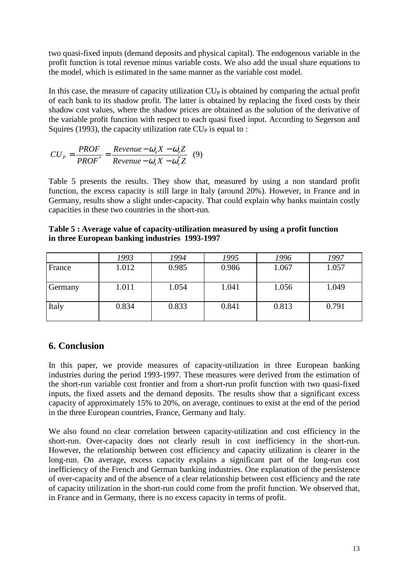two quasi-fixed inputs (demand deposits and physical capital). The endogenous variable in the profit function is total revenue minus variable costs. We also add the usual share equations to the model, which is estimated in the same manner as the variable cost model.

In this case, the measure of capacity utilization  $CU<sub>P</sub>$  is obtained by comparing the actual profit of each bank to its shadow profit. The latter is obtained by replacing the fixed costs by their shadow cost values, where the shadow prices are obtained as the solution of the derivative of the variable profit function with respect to each quasi fixed input. According to Segerson and Squires (1993), the capacity utilization rate  $CU<sub>P</sub>$  is equal to :

$$
CU_{P} = \frac{PROF}{PROF} = \frac{Revenue - \omega_{x}X - \omega_{z}Z}{Revenue - \omega_{x}X - \omega_{z}^{*}Z}
$$
(9)

Table 5 presents the results. They show that, measured by using a non standard profit function, the excess capacity is still large in Italy (around 20%). However, in France and in Germany, results show a slight under-capacity. That could explain why banks maintain costly capacities in these two countries in the short-run.

**Table 5 : Average value of capacity-utilization measured by using a profit function in three European banking industries 1993-1997**

|         | 1993  | 1994  | 1995  | 1996  | 1997  |
|---------|-------|-------|-------|-------|-------|
| France  | 1.012 | 0.985 | 0.986 | 1.067 | 1.057 |
| Germany | 1.011 | 1.054 | 1.041 | 1.056 | 1.049 |
| Italy   | 0.834 | 0.833 | 0.841 | 0.813 | 0.791 |

# **6. Conclusion**

In this paper, we provide measures of capacity-utilization in three European banking industries during the period 1993-1997. These measures were derived from the estimation of the short-run variable cost frontier and from a short-run profit function with two quasi-fixed inputs, the fixed assets and the demand deposits. The results show that a significant excess capacity of approximately 15% to 20%, on average, continues to exist at the end of the period in the three European countries, France, Germany and Italy.

We also found no clear correlation between capacity-utilization and cost efficiency in the short-run. Over-capacity does not clearly result in cost inefficiency in the short-run. However, the relationship between cost efficiency and capacity utilization is clearer in the long-run. On average, excess capacity explains a significant part of the long-run cost inefficiency of the French and German banking industries. One explanation of the persistence of over-capacity and of the absence of a clear relationship between cost efficiency and the rate of capacity utilization in the short-run could come from the profit function. We observed that, in France and in Germany, there is no excess capacity in terms of profit.